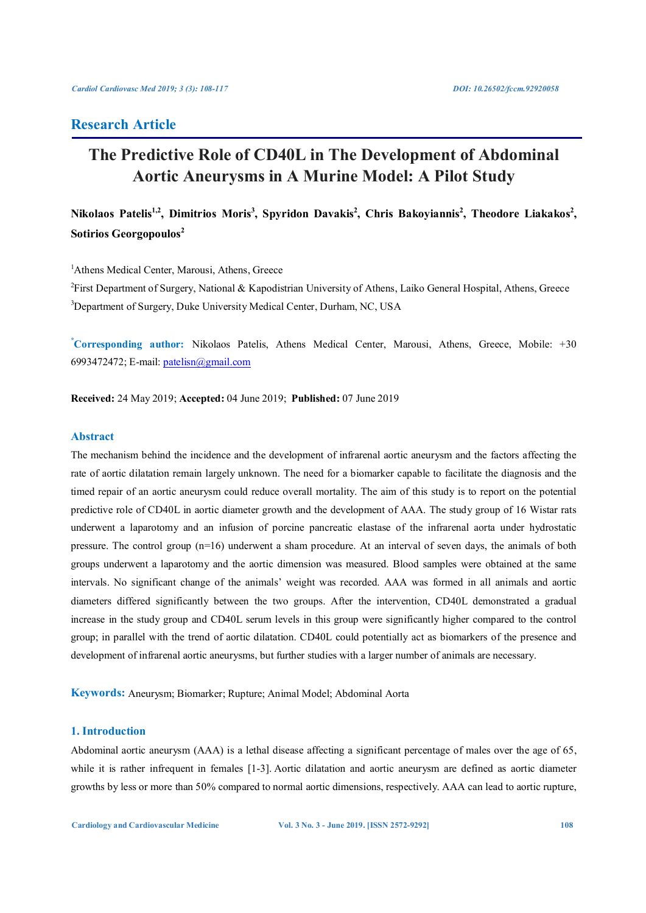# **Research Article**

# **The Predictive Role of CD40L in The Development of Abdominal Aortic Aneurysms in A Murine Model: A Pilot Study**

# Nikolaos Patelis<sup>1,2</sup>, Dimitrios Moris<sup>3</sup>, Spyridon Davakis<sup>2</sup>, Chris Bakoyiannis<sup>2</sup>, Theodore Liakakos<sup>2</sup>, **Sotirios Georgopoulos<sup>2</sup>**

<sup>1</sup>Athens Medical Center, Marousi, Athens, Greece

<sup>2</sup>First Department of Surgery, National & Kapodistrian University of Athens, Laiko General Hospital, Athens, Greece <sup>3</sup>Department of Surgery, Duke University Medical Center, Durham, NC, USA

**\* Corresponding author:** Nikolaos Patelis, Athens Medical Center, Marousi, Athens, Greece, Mobile: +30 6993472472; E-mail: patelisn@gmail.com

**Received:** 24 May 2019; **Accepted:** 04 June 2019; **Published:** 07 June 2019

# **Abstract**

The mechanism behind the incidence and the development of infrarenal aortic aneurysm and the factors affecting the rate of aortic dilatation remain largely unknown. The need for a biomarker capable to facilitate the diagnosis and the timed repair of an aortic aneurysm could reduce overall mortality. The aim of this study is to report on the potential predictive role of CD40L in aortic diameter growth and the development of AAA. The study group of 16 Wistar rats underwent a laparotomy and an infusion of porcine pancreatic elastase of the infrarenal aorta under hydrostatic pressure. The control group (n=16) underwent a sham procedure. At an interval of seven days, the animals of both groups underwent a laparotomy and the aortic dimension was measured. Blood samples were obtained at the same intervals. No significant change of the animals' weight was recorded. AAA was formed in all animals and aortic diameters differed significantly between the two groups. After the intervention, CD40L demonstrated a gradual increase in the study group and CD40L serum levels in this group were significantly higher compared to the control group; in parallel with the trend of aortic dilatation. CD40L could potentially act as biomarkers of the presence and development of infrarenal aortic aneurysms, but further studies with a larger number of animals are necessary.

**Keywords:** Aneurysm; Biomarker; Rupture; Animal Model; Abdominal Aorta

# **1. Introduction**

Abdominal aortic aneurysm (AAA) is a lethal disease affecting a significant percentage of males over the age of 65, while it is rather infrequent in females [1-3]. Aortic dilatation and aortic aneurysm are defined as aortic diameter growths by less or more than 50% compared to normal aortic dimensions, respectively. AAA can lead to aortic rupture,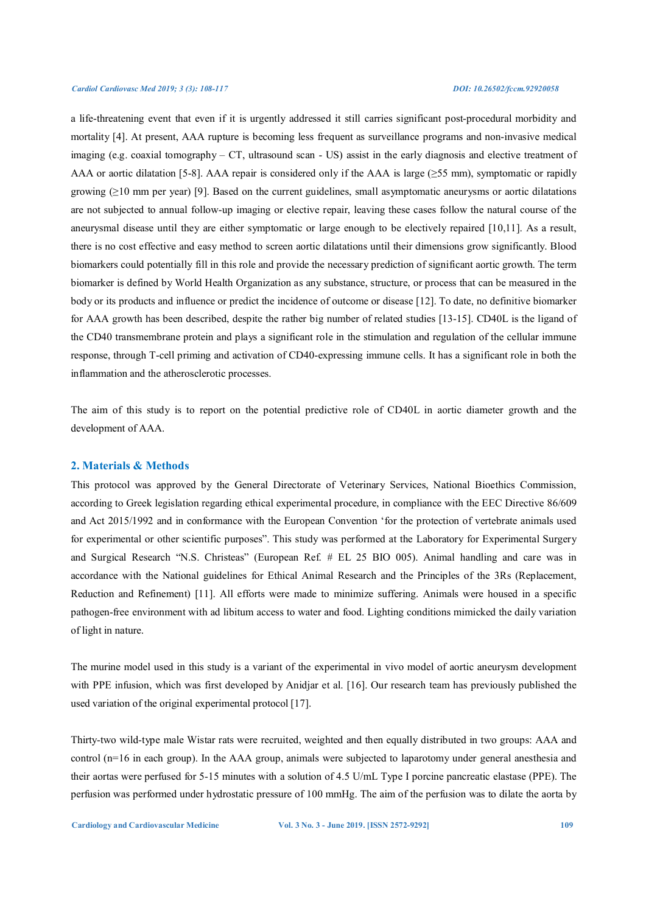a life-threatening event that even if it is urgently addressed it still carries significant post-procedural morbidity and mortality [4]. At present, AAA rupture is becoming less frequent as surveillance programs and non-invasive medical imaging (e.g. coaxial tomography – CT, ultrasound scan - US) assist in the early diagnosis and elective treatment of AAA or aortic dilatation [5-8]. AAA repair is considered only if the AAA is large ( $>55$  mm), symptomatic or rapidly growing  $(≥10$  mm per year) [9]. Based on the current guidelines, small asymptomatic aneurysms or aortic dilatations are not subjected to annual follow-up imaging or elective repair, leaving these cases follow the natural course of the aneurysmal disease until they are either symptomatic or large enough to be electively repaired [10,11]. As a result, there is no cost effective and easy method to screen aortic dilatations until their dimensions grow significantly. Blood biomarkers could potentially fill in this role and provide the necessary prediction of significant aortic growth. The term biomarker is defined by World Health Organization as any substance, structure, or process that can be measured in the body or its products and influence or predict the incidence of outcome or disease [12]. To date, no definitive biomarker for AAA growth has been described, despite the rather big number of related studies [13-15]. CD40L is the ligand of the CD40 transmembrane protein and plays a significant role in the stimulation and regulation of the cellular immune response, through T-cell priming and activation of CD40-expressing immune cells. It has a significant role in both the inflammation and the atherosclerotic processes.

The aim of this study is to report on the potential predictive role of CD40L in aortic diameter growth and the development of AAA.

# **2. Materials & Methods**

This protocol was approved by the General Directorate of Veterinary Services, National Bioethics Commission, according to Greek legislation regarding ethical experimental procedure, in compliance with the EEC Directive 86/609 and Act 2015/1992 and in conformance with the European Convention 'for the protection of vertebrate animals used for experimental or other scientific purposes". This study was performed at the Laboratory for Experimental Surgery and Surgical Research "N.S. Christeas" (European Ref. # EL 25 BIO 005). Animal handling and care was in accordance with the National guidelines for Ethical Animal Research and the Principles of the 3Rs (Replacement, Reduction and Refinement) [11]. All efforts were made to minimize suffering. Animals were housed in a specific pathogen-free environment with ad libitum access to water and food. Lighting conditions mimicked the daily variation of light in nature.

The murine model used in this study is a variant of the experimental in vivo model of aortic aneurysm development with PPE infusion, which was first developed by Anidjar et al. [16]. Our research team has previously published the used variation of the original experimental protocol [17].

Thirty-two wild-type male Wistar rats were recruited, weighted and then equally distributed in two groups: AAA and control (n=16 in each group). In the AAA group, animals were subjected to laparotomy under general anesthesia and their aortas were perfused for 5-15 minutes with a solution of 4.5 U/mL Type I porcine pancreatic elastase (PPE). The perfusion was performed under hydrostatic pressure of 100 mmHg. The aim of the perfusion was to dilate the aorta by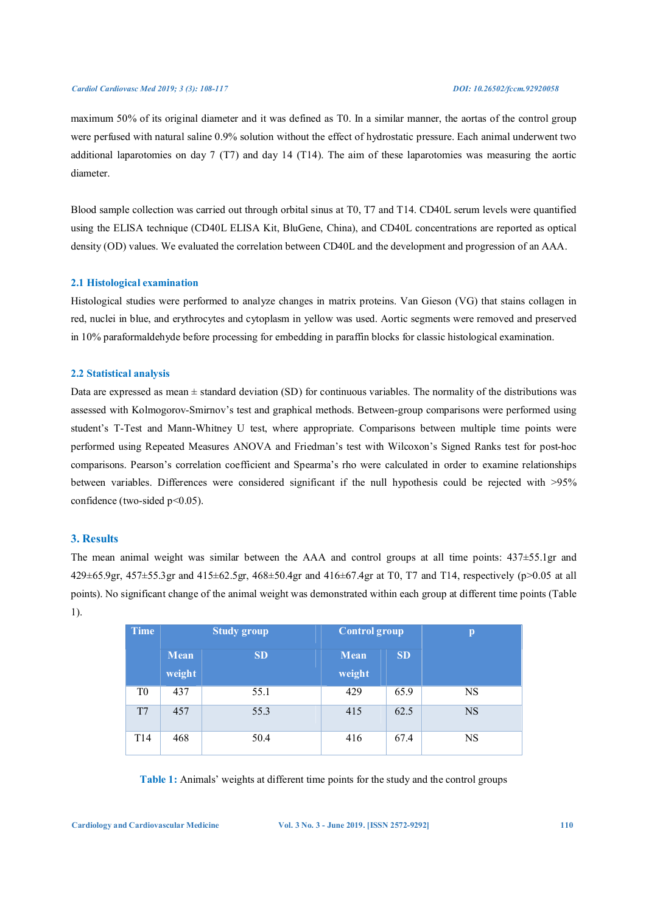maximum 50% of its original diameter and it was defined as T0. In a similar manner, the aortas of the control group were perfused with natural saline 0.9% solution without the effect of hydrostatic pressure. Each animal underwent two additional laparotomies on day 7 (T7) and day 14 (T14). The aim of these laparotomies was measuring the aortic diameter.

Blood sample collection was carried out through orbital sinus at T0, T7 and T14. CD40L serum levels were quantified using the ELISA technique (CD40L ELISA Kit, BluGene, China), and CD40L concentrations are reported as optical density (OD) values. We evaluated the correlation between CD40L and the development and progression of an AAA.

## **2.1 Histological examination**

Histological studies were performed to analyze changes in matrix proteins. Van Gieson (VG) that stains collagen in red, nuclei in blue, and erythrocytes and cytoplasm in yellow was used. Aortic segments were removed and preserved in 10% paraformaldehyde before processing for embedding in paraffin blocks for classic histological examination.

## **2.2 Statistical analysis**

Data are expressed as mean  $\pm$  standard deviation (SD) for continuous variables. The normality of the distributions was assessed with Kolmogorov-Smirnov's test and graphical methods. Between-group comparisons were performed using student's T-Test and Mann-Whitney U test, where appropriate. Comparisons between multiple time points were performed using Repeated Measures ANOVA and Friedman's test with Wilcoxon's Signed Ranks test for post-hoc comparisons. Pearson's correlation coefficient and Spearma's rho were calculated in order to examine relationships between variables. Differences were considered significant if the null hypothesis could be rejected with >95% confidence (two-sided p<0.05).

# **3. Results**

The mean animal weight was similar between the AAA and control groups at all time points: 437±55.1gr and 429±65.9gr, 457±55.3gr and 415±62.5gr, 468±50.4gr and 416±67.4gr at T0, T7 and T14, respectively (p>0.05 at all points). No significant change of the animal weight was demonstrated within each group at different time points (Table 1).

| <b>Time</b>    | <b>Study group</b> |           | <b>Control group</b> |           | p         |
|----------------|--------------------|-----------|----------------------|-----------|-----------|
|                | Mean<br>weight     | <b>SD</b> | Mean<br>weight       | <b>SD</b> |           |
| T <sub>0</sub> | 437                | 55.1      | 429                  | 65.9      | <b>NS</b> |
| T7             | 457                | 55.3      | 415                  | 62.5      | <b>NS</b> |
| T14            | 468                | 50.4      | 416                  | 67.4      | <b>NS</b> |

**Table 1:** Animals' weights at different time points for the study and the control groups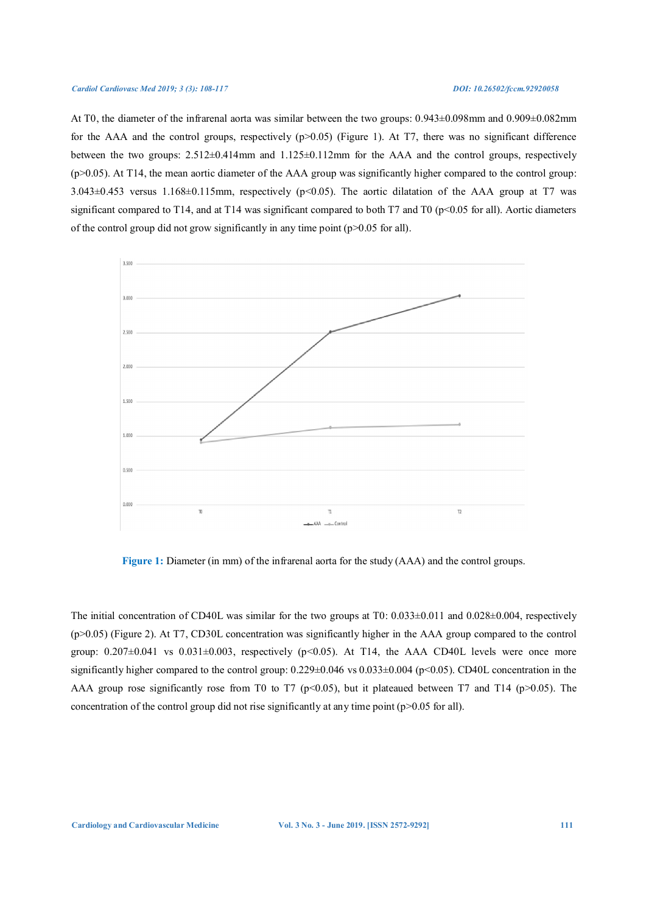At T0, the diameter of the infrarenal aorta was similar between the two groups: 0.943±0.098mm and 0.909±0.082mm for the AAA and the control groups, respectively  $(p>0.05)$  (Figure 1). At T7, there was no significant difference between the two groups: 2.512±0.414mm and 1.125±0.112mm for the AAA and the control groups, respectively  $(p>0.05)$ . At T14, the mean aortic diameter of the AAA group was significantly higher compared to the control group:  $3.043\pm0.453$  versus 1.168 $\pm$ 0.115mm, respectively (p<0.05). The aortic dilatation of the AAA group at T7 was significant compared to T14, and at T14 was significant compared to both T7 and T0 ( $p<0.05$  for all). Aortic diameters of the control group did not grow significantly in any time point  $(p>0.05$  for all).



**Figure 1:** Diameter (in mm) of the infrarenal aorta for the study (AAA) and the control groups.

The initial concentration of CD40L was similar for the two groups at  $T0: 0.033\pm0.011$  and  $0.028\pm0.004$ , respectively (p>0.05) (Figure 2). At T7, CD30L concentration was significantly higher in the AAA group compared to the control group:  $0.207\pm0.041$  vs  $0.031\pm0.003$ , respectively (p<0.05). At T14, the AAA CD40L levels were once more significantly higher compared to the control group:  $0.229 \pm 0.046$  vs  $0.033 \pm 0.004$  (p<0.05). CD40L concentration in the AAA group rose significantly rose from T0 to T7 (p<0.05), but it plateaued between T7 and T14 (p>0.05). The concentration of the control group did not rise significantly at any time point  $(p>0.05$  for all).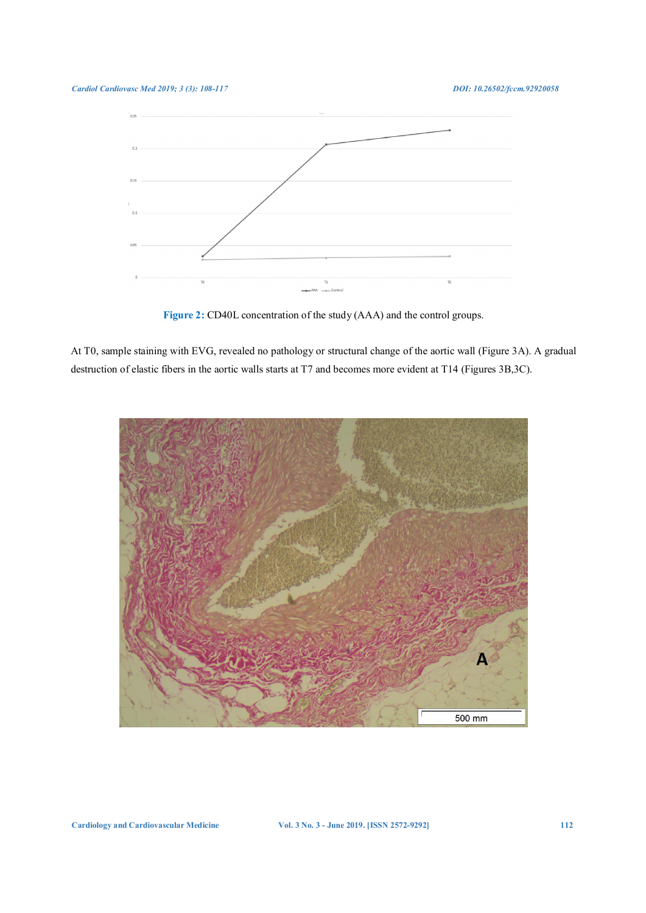

**Figure 2:** CD40L concentration of the study (AAA) and the control groups.

At T0, sample staining with EVG, revealed no pathology or structural change of the aortic wall (Figure 3A). A gradual destruction of elastic fibers in the aortic walls starts at T7 and becomes more evident at T14 (Figures 3B,3C).



**Cardiology and Cardiovascular Medicine Vol. 3 No. 3 - June 2019. [ISSN 2572-9292] 112**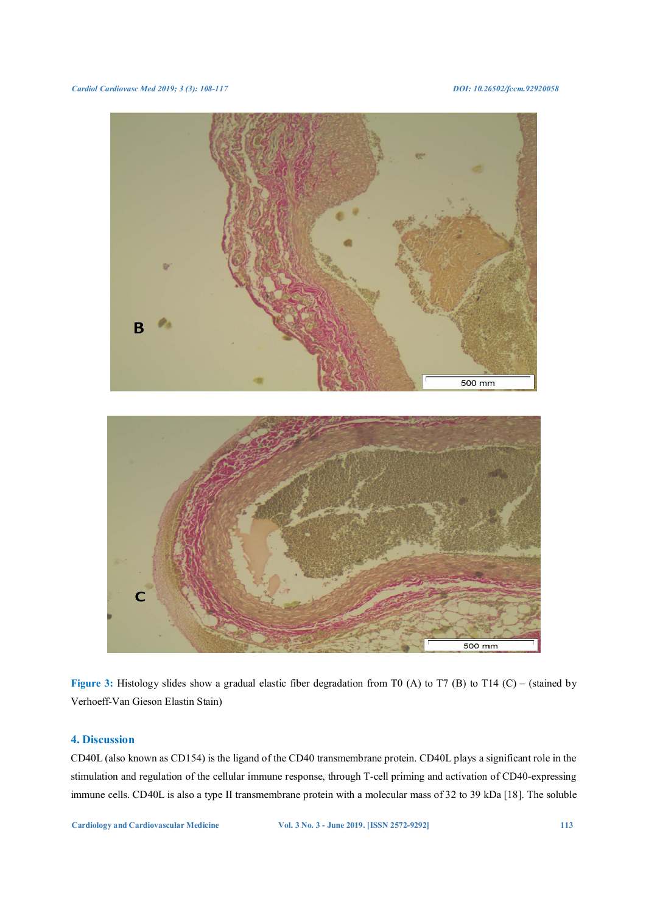

Figure 3: Histology slides show a gradual elastic fiber degradation from T0 (A) to T7 (B) to T14 (C) – (stained by Verhoeff-Van Gieson Elastin Stain)

# **4. Discussion**

CD40L (also known as CD154) is the ligand of the CD40 transmembrane protein. CD40L plays a significant role in the stimulation and regulation of the cellular immune response, through T-cell priming and activation of CD40-expressing immune cells. CD40L is also a type II transmembrane protein with a molecular mass of 32 to 39 kDa [18]. The soluble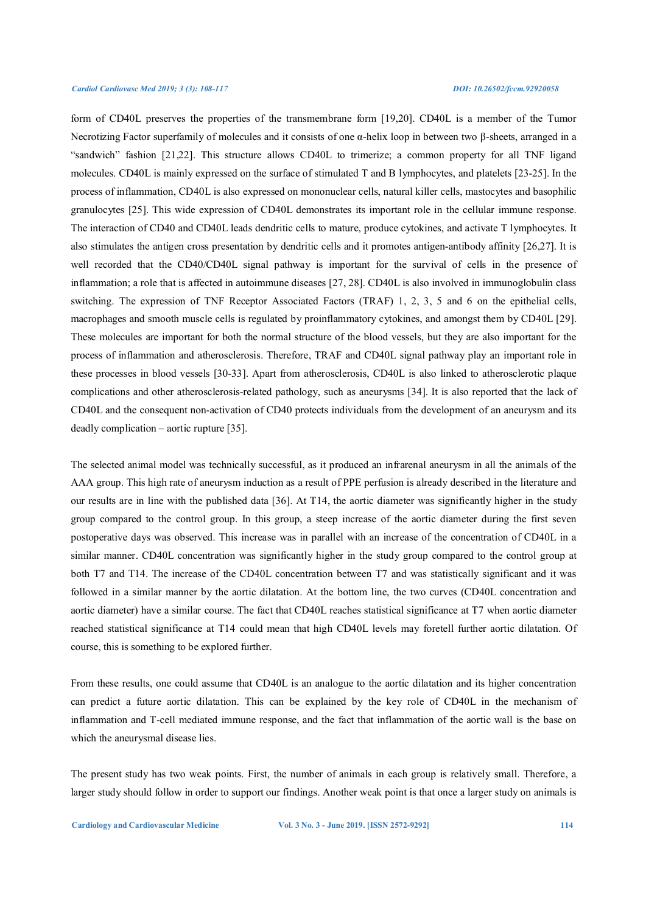form of CD40L preserves the properties of the transmembrane form [19,20]. CD40L is a member of the Tumor Necrotizing Factor superfamily of molecules and it consists of one α-helix loop in between two β-sheets, arranged in a "sandwich" fashion [21,22]. This structure allows CD40L to trimerize; a common property for all TNF ligand molecules. CD40L is mainly expressed on the surface of stimulated T and B lymphocytes, and platelets [23-25]. In the process of inflammation, CD40L is also expressed on mononuclear cells, natural killer cells, mastocytes and basophilic granulocytes [25]. This wide expression of CD40L demonstrates its important role in the cellular immune response. The interaction of CD40 and CD40L leads dendritic cells to mature, produce cytokines, and activate T lymphocytes. It also stimulates the antigen cross presentation by dendritic cells and it promotes antigen-antibody affinity [26,27]. It is well recorded that the CD40/CD40L signal pathway is important for the survival of cells in the presence of inflammation; a role that is affected in autoimmune diseases [27, 28]. CD40L is also involved in immunoglobulin class switching. The expression of TNF Receptor Associated Factors (TRAF) 1, 2, 3, 5 and 6 on the epithelial cells, macrophages and smooth muscle cells is regulated by proinflammatory cytokines, and amongst them by CD40L [29]. These molecules are important for both the normal structure of the blood vessels, but they are also important for the process of inflammation and atherosclerosis. Therefore, TRAF and CD40L signal pathway play an important role in these processes in blood vessels [30-33]. Apart from atherosclerosis, CD40L is also linked to atherosclerotic plaque complications and other atherosclerosis-related pathology, such as aneurysms [34]. It is also reported that the lack of CD40L and the consequent non-activation of CD40 protects individuals from the development of an aneurysm and its deadly complication – aortic rupture [35].

The selected animal model was technically successful, as it produced an infrarenal aneurysm in all the animals of the AAA group. This high rate of aneurysm induction as a result of PPE perfusion is already described in the literature and our results are in line with the published data [36]. At T14, the aortic diameter was significantly higher in the study group compared to the control group. In this group, a steep increase of the aortic diameter during the first seven postoperative days was observed. This increase was in parallel with an increase of the concentration of CD40L in a similar manner. CD40L concentration was significantly higher in the study group compared to the control group at both T7 and T14. The increase of the CD40L concentration between T7 and was statistically significant and it was followed in a similar manner by the aortic dilatation. At the bottom line, the two curves (CD40L concentration and aortic diameter) have a similar course. The fact that CD40L reaches statistical significance at T7 when aortic diameter reached statistical significance at T14 could mean that high CD40L levels may foretell further aortic dilatation. Of course, this is something to be explored further.

From these results, one could assume that CD40L is an analogue to the aortic dilatation and its higher concentration can predict a future aortic dilatation. This can be explained by the key role of CD40L in the mechanism of inflammation and T-cell mediated immune response, and the fact that inflammation of the aortic wall is the base on which the aneurysmal disease lies.

The present study has two weak points. First, the number of animals in each group is relatively small. Therefore, a larger study should follow in order to support our findings. Another weak point is that once a larger study on animals is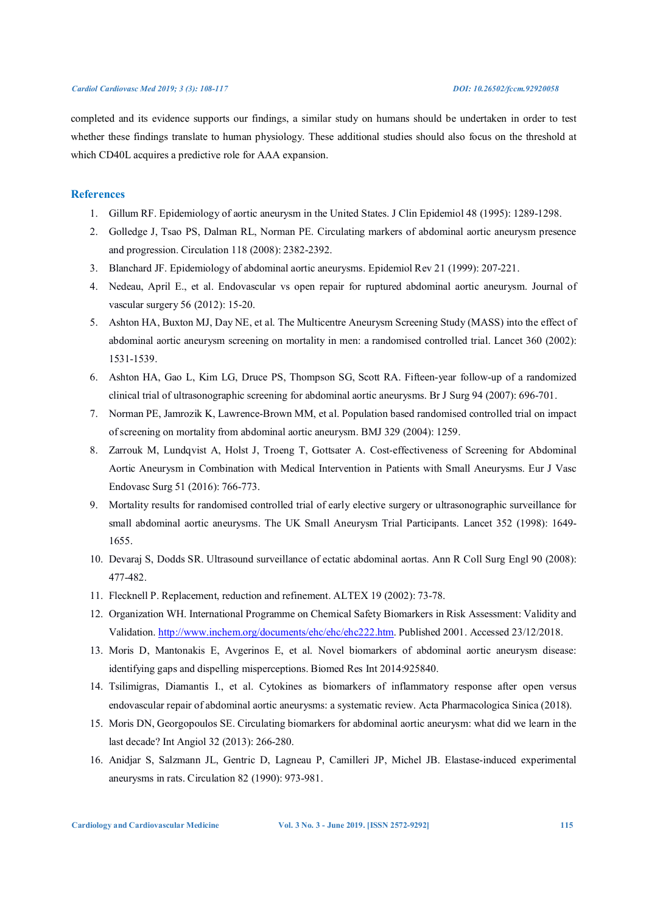completed and its evidence supports our findings, a similar study on humans should be undertaken in order to test whether these findings translate to human physiology. These additional studies should also focus on the threshold at which CD40L acquires a predictive role for AAA expansion.

# **References**

- 1. Gillum RF. Epidemiology of aortic aneurysm in the United States. J Clin Epidemiol 48 (1995): 1289-1298.
- 2. Golledge J, Tsao PS, Dalman RL, Norman PE. Circulating markers of abdominal aortic aneurysm presence and progression. Circulation 118 (2008): 2382-2392.
- 3. Blanchard JF. Epidemiology of abdominal aortic aneurysms. Epidemiol Rev 21 (1999): 207-221.
- 4. Nedeau, April E., et al. Endovascular vs open repair for ruptured abdominal aortic aneurysm. Journal of vascular surgery 56 (2012): 15-20.
- 5. Ashton HA, Buxton MJ, Day NE, et al. The Multicentre Aneurysm Screening Study (MASS) into the effect of abdominal aortic aneurysm screening on mortality in men: a randomised controlled trial. Lancet 360 (2002): 1531-1539.
- 6. Ashton HA, Gao L, Kim LG, Druce PS, Thompson SG, Scott RA. Fifteen-year follow-up of a randomized clinical trial of ultrasonographic screening for abdominal aortic aneurysms. Br J Surg 94 (2007): 696-701.
- 7. Norman PE, Jamrozik K, Lawrence-Brown MM, et al. Population based randomised controlled trial on impact of screening on mortality from abdominal aortic aneurysm. BMJ 329 (2004): 1259.
- 8. Zarrouk M, Lundqvist A, Holst J, Troeng T, Gottsater A. Cost-effectiveness of Screening for Abdominal Aortic Aneurysm in Combination with Medical Intervention in Patients with Small Aneurysms. Eur J Vasc Endovasc Surg 51 (2016): 766-773.
- 9. Mortality results for randomised controlled trial of early elective surgery or ultrasonographic surveillance for small abdominal aortic aneurysms. The UK Small Aneurysm Trial Participants. Lancet 352 (1998): 1649- 1655.
- 10. Devaraj S, Dodds SR. Ultrasound surveillance of ectatic abdominal aortas. Ann R Coll Surg Engl 90 (2008): 477-482.
- 11. Flecknell P. Replacement, reduction and refinement. ALTEX 19 (2002): 73-78.
- 12. Organization WH. International Programme on Chemical Safety Biomarkers in Risk Assessment: Validity and Validation. http://www.inchem.org/documents/ehc/ehc/ehc222.htm. Published 2001. Accessed 23/12/2018.
- 13. Moris D, Mantonakis E, Avgerinos E, et al. Novel biomarkers of abdominal aortic aneurysm disease: identifying gaps and dispelling misperceptions. Biomed Res Int 2014:925840.
- 14. Tsilimigras, Diamantis I., et al. Cytokines as biomarkers of inflammatory response after open versus endovascular repair of abdominal aortic aneurysms: a systematic review. Acta Pharmacologica Sinica (2018).
- 15. Moris DN, Georgopoulos SE. Circulating biomarkers for abdominal aortic aneurysm: what did we learn in the last decade? Int Angiol 32 (2013): 266-280.
- 16. Anidjar S, Salzmann JL, Gentric D, Lagneau P, Camilleri JP, Michel JB. Elastase-induced experimental aneurysms in rats. Circulation 82 (1990): 973-981.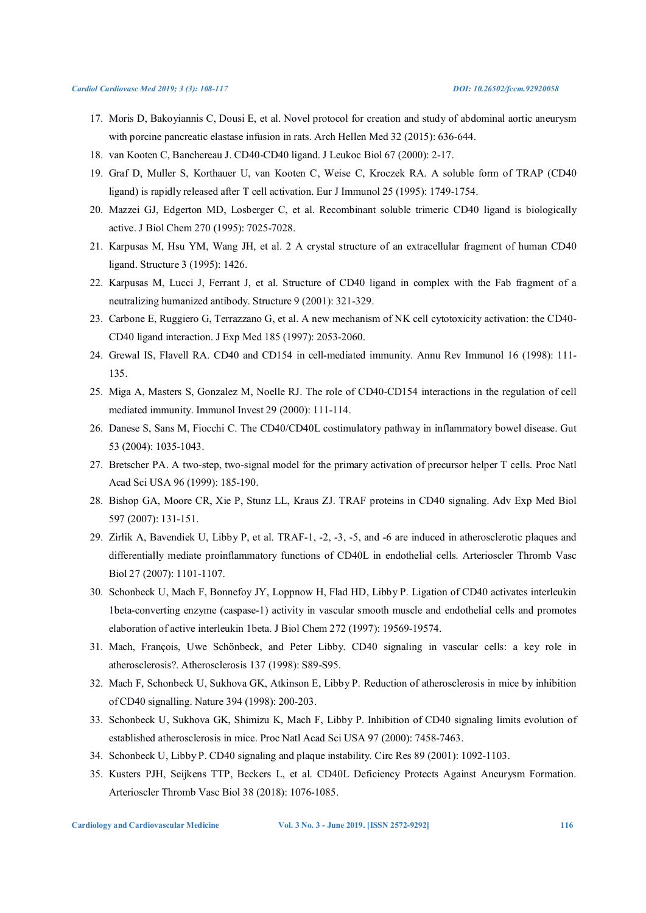- 17. Moris D, Bakoyiannis C, Dousi E, et al. Novel protocol for creation and study of abdominal aortic aneurysm with porcine pancreatic elastase infusion in rats. Arch Hellen Med 32 (2015): 636-644.
- 18. van Kooten C, Banchereau J. CD40-CD40 ligand. J Leukoc Biol 67 (2000): 2-17.
- 19. Graf D, Muller S, Korthauer U, van Kooten C, Weise C, Kroczek RA. A soluble form of TRAP (CD40 ligand) is rapidly released after T cell activation. Eur J Immunol 25 (1995): 1749-1754.
- 20. Mazzei GJ, Edgerton MD, Losberger C, et al. Recombinant soluble trimeric CD40 ligand is biologically active. J Biol Chem 270 (1995): 7025-7028.
- 21. Karpusas M, Hsu YM, Wang JH, et al. 2 A crystal structure of an extracellular fragment of human CD40 ligand. Structure 3 (1995): 1426.
- 22. Karpusas M, Lucci J, Ferrant J, et al. Structure of CD40 ligand in complex with the Fab fragment of a neutralizing humanized antibody. Structure 9 (2001): 321-329.
- 23. Carbone E, Ruggiero G, Terrazzano G, et al. A new mechanism of NK cell cytotoxicity activation: the CD40- CD40 ligand interaction. J Exp Med 185 (1997): 2053-2060.
- 24. Grewal IS, Flavell RA. CD40 and CD154 in cell-mediated immunity. Annu Rev Immunol 16 (1998): 111- 135.
- 25. Miga A, Masters S, Gonzalez M, Noelle RJ. The role of CD40-CD154 interactions in the regulation of cell mediated immunity. Immunol Invest 29 (2000): 111-114.
- 26. Danese S, Sans M, Fiocchi C. The CD40/CD40L costimulatory pathway in inflammatory bowel disease. Gut 53 (2004): 1035-1043.
- 27. Bretscher PA. A two-step, two-signal model for the primary activation of precursor helper T cells. Proc Natl Acad Sci USA 96 (1999): 185-190.
- 28. Bishop GA, Moore CR, Xie P, Stunz LL, Kraus ZJ. TRAF proteins in CD40 signaling. Adv Exp Med Biol 597 (2007): 131-151.
- 29. Zirlik A, Bavendiek U, Libby P, et al. TRAF-1, -2, -3, -5, and -6 are induced in atherosclerotic plaques and differentially mediate proinflammatory functions of CD40L in endothelial cells. Arterioscler Thromb Vasc Biol 27 (2007): 1101-1107.
- 30. Schonbeck U, Mach F, Bonnefoy JY, Loppnow H, Flad HD, Libby P. Ligation of CD40 activates interleukin 1beta-converting enzyme (caspase-1) activity in vascular smooth muscle and endothelial cells and promotes elaboration of active interleukin 1beta. J Biol Chem 272 (1997): 19569-19574.
- 31. Mach, François, Uwe Schönbeck, and Peter Libby. CD40 signaling in vascular cells: a key role in atherosclerosis?. Atherosclerosis 137 (1998): S89-S95.
- 32. Mach F, Schonbeck U, Sukhova GK, Atkinson E, Libby P. Reduction of atherosclerosis in mice by inhibition of CD40 signalling. Nature 394 (1998): 200-203.
- 33. Schonbeck U, Sukhova GK, Shimizu K, Mach F, Libby P. Inhibition of CD40 signaling limits evolution of established atherosclerosis in mice. Proc Natl Acad Sci USA 97 (2000): 7458-7463.
- 34. Schonbeck U, Libby P. CD40 signaling and plaque instability. Circ Res 89 (2001): 1092-1103.
- 35. Kusters PJH, Seijkens TTP, Beckers L, et al. CD40L Deficiency Protects Against Aneurysm Formation. Arterioscler Thromb Vasc Biol 38 (2018): 1076-1085.